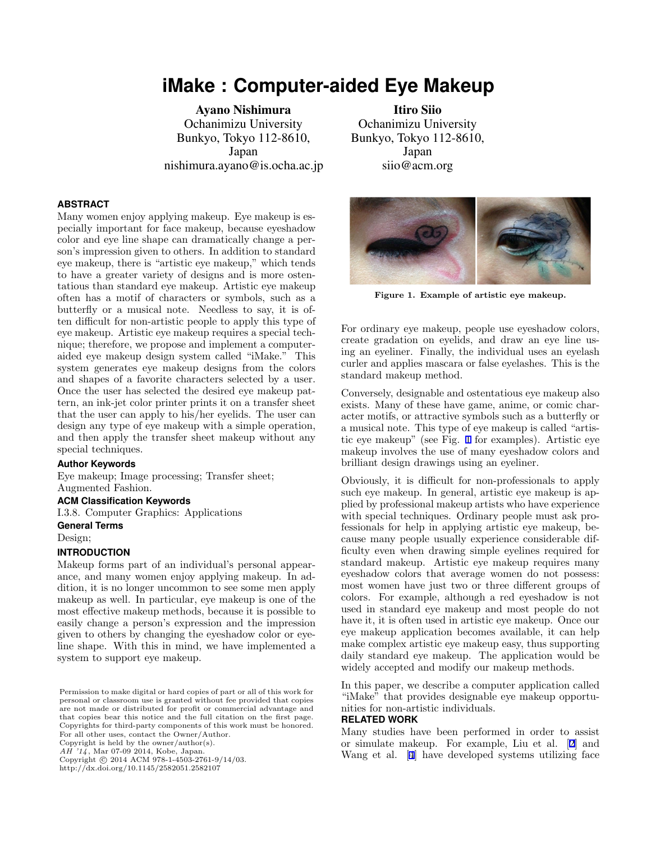# **iMake : Computer-aided Eye Makeup**

Ayano Nishimura Ochanimizu University Bunkyo, Tokyo 112-8610, Japan nishimura.ayano@is.ocha.ac.jp

### **ABSTRACT**

Many women enjoy applying makeup. Eye makeup is especially important for face makeup, because eyeshadow color and eye line shape can dramatically change a person's impression given to others. In addition to standard eye makeup, there is "artistic eye makeup," which tends to have a greater variety of designs and is more ostentatious than standard eye makeup. Artistic eye makeup often has a motif of characters or symbols, such as a butterfly or a musical note. Needless to say, it is often difficult for non-artistic people to apply this type of eye makeup. Artistic eye makeup requires a special technique; therefore, we propose and implement a computeraided eye makeup design system called "iMake." This system generates eye makeup designs from the colors and shapes of a favorite characters selected by a user. Once the user has selected the desired eye makeup pattern, an ink-jet color printer prints it on a transfer sheet that the user can apply to his/her eyelids. The user can design any type of eye makeup with a simple operation, and then apply the transfer sheet makeup without any special techniques.

### **Author Keywords**

Eye makeup; Image processing; Transfer sheet; Augmented Fashion.

## **ACM Classification Keywords**

I.3.8. Computer Graphics: Applications **General Terms**

Design;

## **INTRODUCTION**

Makeup forms part of an individual's personal appearance, and many women enjoy applying makeup. In addition, it is no longer uncommon to see some men apply makeup as well. In particular, eye makeup is one of the most effective makeup methods, because it is possible to easily change a person's expression and the impression given to others by changing the eyeshadow color or eyeline shape. With this in mind, we have implemented a system to support eye makeup.

Copyright is held by the owner/author(s).

<sup>7</sup>/4, Mar 07-09 2014, Kobe, Japan.

Copyright c 2014 ACM 978-1-4503-2761-9/14/03.

http://dx.doi.org/10.1145/2582051.2582107

Itiro Siio Ochanimizu University Bunkyo, Tokyo 112-8610, Japan siio@acm.org



**Figure 1. Example of artistic eye makeup.**

For ordinary eye makeup, people use eyeshadow colors, create gradation on eyelids, and draw an eye line using an eyeliner. Finally, the individual uses an eyelash curler and applies mascara or false eyelashes. This is the standard makeup method.

Conversely, designable and ostentatious eye makeup also exists. Many of these have game, anime, or comic character motifs, or attractive symbols such as a butterfly or a musical note. This type of eye makeup is called "artistic eye makeup" (see Fig. 1 for examples). Artistic eye makeup involves the use of many eyeshadow colors and brilliant design drawings using an eyeliner.

Obviously, it is difficult for non-professionals to apply such eye makeup. In general, artistic eye makeup is applied by professional makeup artists who have experience with special techniques. Ordinary people must ask professionals for help in applying artistic eye makeup, because many people usually experience considerable difficulty even when drawing simple eyelines required for standard makeup. Artistic eye makeup requires many eyeshadow colors that average women do not possess: most women have just two or three different groups of colors. For example, although a red eyeshadow is not used in standard eye makeup and most people do not have it, it is often used in artistic eye makeup. Once our eye makeup application becomes available, it can help make complex artistic eye makeup easy, thus supporting daily standard eye makeup. The application would be widely accepted and modify our makeup methods.

In this paper, we describe a computer application called "iMake" that provides designable eye makeup opportunities for non-artistic individuals.

#### **RELATED WORK**

Many studies have been performed in order to assist or simulate makeup. For example, Liu et al. [[2\]](#page-1-0) and Wang et al. [[4\]](#page-1-0) have developed systems utilizing face

Permission to make digital or hard copies of part or all of this work for personal or classroom use is granted without fee provided that copies are not made or distributed for profit or commercial advantage and that copies bear this notice and the full citation on the first page. Copyrights for third-party components of this work must be honored. For all other uses, contact the Owner/Author.